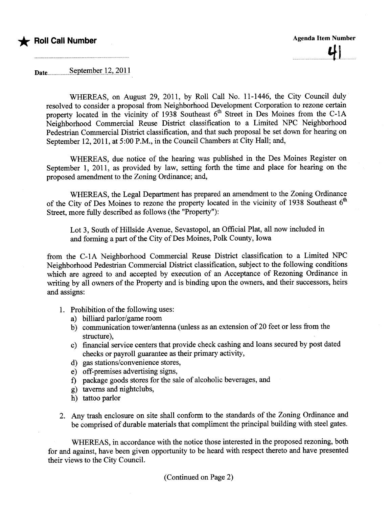

Date....................s~pt~:nQ~r..l.7..,.7.Qll

WHEREAS, on August 29, 2011, by Roll Call No. 11-1446, the City Council duly resolved to consider a proposal from Neighborhood Development Corporation to rezone certain property located in the vicinity of 1938 Southeast  $6<sup>th</sup>$  Street in Des Moines from the C-1A Neighborhood Commercial Reuse District classification to a Limited NPC Neighborhood Pedestrian Commercial District classification, and that such proposal be set down for hearing on September 12,2011, at 5:00 P.M., in the Council Chambers at City Hall; and,

WHEREAS, due notice of the hearing was published in the Des Moines Register on September 1, 2011, as provided by law, setting forth the time and place for hearing on the proposed amendment to the Zoning Ordinance; and,

WHEREAS, the Legal Deparment has prepared an amendment to the Zoning Ordinance of the City of Des Moines to rezone the property located in the vicinity of 1938 Southeast  $6<sup>th</sup>$ Street, more fully described as follows (the "Property"):

Lot 3, South of Hillside Avenue, Sevastopol, an Official Plat, all now included in and forming a part of the City of Des Moines, Polk County, Iowa

from the C-IA Neighborhood Commercial Reuse District classification to a Limited NPC Neighborhood Pedestrian Commercial District classification, subject to the following conditions which are agreed to and accepted by execution of an Acceptance of Rezoning Ordinance in wrting by all owners of the Property and is binding upon the owners, and their successors, heirs and assigns:

- 1. Prohibition of the following uses:
	- a) biliard parlor/game room
	- b) communication tower/antenna (unless as an extension of 20 feet or less from the structure),
	- c) financial service centers that provide check cashing and loans secured by post dated checks or payroll guarantee as their primary activity,
	- d) gas stations/convenience stores,
	- e) off-premises advertising signs,
	- f) package goods stores for the sale of alcoholic beverages, and
	- g) taverns and nightclubs,
	- h) tattoo parlor
- 2. Any trash enclosure on site shall conform to the stadards of the Zoning Ordinance and be comprised of durable materials that compliment the principal building with steel gates.

WHEREAS, in accordance with the notice those interested in the proposed rezoning, both for and against, have been given opportunity to be heard with respect thereto and have presented their views to the City CounciL.

(Continued on Page 2)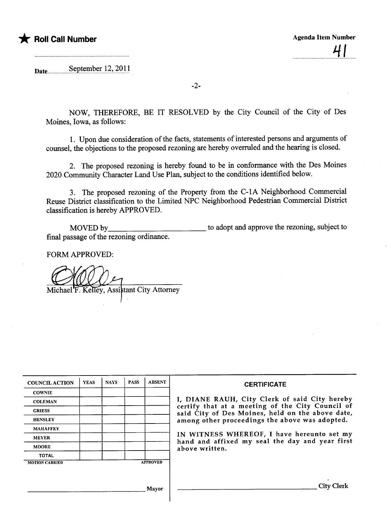

Date......................s.€?pt~J:~~r).~'.~9..l)

-2-

NOW, THEREFORE, BE IT RESOLVED by the City Council of the City of Des Moines, Iowa, as follows:

1. Upon due consideration of the facts, statements of interested persons and arguments of counsel, the objections to the proposed rezoning are hereby overruled and the hearing is closed.

2. The proposed rezoning is hereby found to be in conformance with the Des Moines 2020 Communty Character Land Use Plan, subject to the conditions identified below.

3. The proposed rezoning of the Property from the C-IA Neighborhood Commercial Reuse District classification to the Limited NPC Neighborhood Pedestrian Commercial District classification is hereby APPROVED.

MOVED by final passage of the rezoning ordinance. to adopt and approve the rezoning, subject to

FORM APPROVED:

Michael F. Kelley, Assistant City Attorney

| <b>COUNCIL ACTION</b> | <b>YEAS</b> | <b>NAYS</b> | <b>PASS</b> | <b>ABSENT</b>   | <b>CERTIFICATE</b>                                                                                   |
|-----------------------|-------------|-------------|-------------|-----------------|------------------------------------------------------------------------------------------------------|
| <b>COWNIE</b>         |             |             |             |                 |                                                                                                      |
| <b>COLEMAN</b>        |             |             |             |                 | I, DIANE RAUH, City Clerk of said City hereby                                                        |
| <b>GRIESS</b>         |             |             |             |                 | certify that at a meeting of the City Council of<br>said City of Des Moines, held on the above date, |
| <b>HENSLEY</b>        |             |             |             |                 | among other proceedings the above was adopted.                                                       |
| <b>MAHAFFEY</b>       |             |             |             |                 |                                                                                                      |
| <b>MEYER</b>          |             |             |             |                 | IN WITNESS WHEREOF, I have hereunto set my<br>hand and affixed my seal the day and year first        |
| <b>MOORE</b>          |             |             |             |                 | above written.                                                                                       |
| <b>TOTAL</b>          |             |             |             |                 |                                                                                                      |
| <b>MOTION CARRIED</b> |             |             |             | <b>APPROVED</b> |                                                                                                      |
|                       |             |             |             |                 |                                                                                                      |
|                       |             |             |             | Mayor           | <b>City Clerk</b>                                                                                    |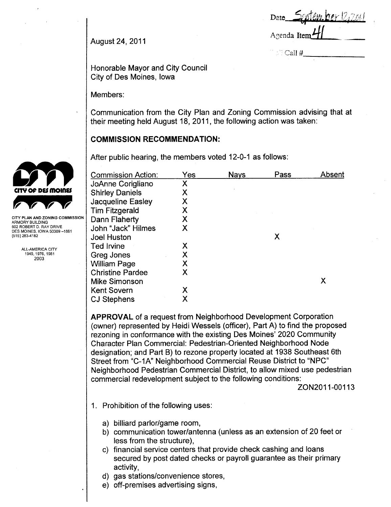| <u>September 12,2011</u><br>Date. |  |
|-----------------------------------|--|
|                                   |  |
| Agenda Item <sup>1</sup> /        |  |

 $>$  Call #

August 24, 2011

Honorable Mayor and City Council City of Des Moines, Iowa

Members:

Communication from the City Plan and Zoning Commission advising that at their meeting held August 18, 2011, the following action was taken:

# **COMMISSION RECOMMENDATION:**

After public hearing, the members voted 12-0-1 as follows:

|                                                                          | <b>Commission Action:</b> | Yes | <b>Nays</b> | Pass | Absent |
|--------------------------------------------------------------------------|---------------------------|-----|-------------|------|--------|
|                                                                          | JoAnne Corigliano         | Χ   |             |      |        |
| <b>CITY OF DES MOINES</b>                                                | <b>Shirley Daniels</b>    | Χ   |             |      |        |
|                                                                          | Jacqueline Easley         |     |             |      |        |
|                                                                          | <b>Tim Fitzgerald</b>     |     |             |      |        |
| CITY PLAN AND ZONING COMMISSION<br>ARMORY BUILDING                       | Dann Flaherty             | Χ   |             |      |        |
| 602 ROBERT D. RAY DRIVE<br>DES MOINES, IOWA 50309-1881<br>(515) 283-4182 | John "Jack" Hilmes        | Χ   |             |      |        |
|                                                                          | <b>Joel Huston</b>        |     |             | Χ    |        |
| ALL-AMERICA CITY                                                         | Ted Irvine                | Х   |             |      |        |
| 1949, 1976, 1981<br>2003                                                 | Greg Jones                | Χ   |             |      |        |
|                                                                          | <b>William Page</b>       |     |             |      |        |
|                                                                          | <b>Christine Pardee</b>   | Χ   |             |      |        |
|                                                                          | <b>Mike Simonson</b>      |     |             |      | Χ      |
|                                                                          | <b>Kent Sovern</b>        | Χ   |             |      |        |
|                                                                          | <b>CJ Stephens</b>        | Χ   |             |      |        |
|                                                                          |                           |     |             |      |        |

APPROVAL of a request from Neighborhood Development Corporation (owner) represented by Heidi Wessels (officer), Part A) to find the proposed rezoning in conformance with the existing Des Moines' 2020 Community Character Plan Commercial: Pedestrian-Oriented Neighborhood Node designation; and Part B) to rezone property located at 1938 Southeast 6th Street from "C-1A" Neighborhood Commercial Reuse District to "NPC" Neighborhood Pedestrian Commercial District, to allow mixed use pedestrian commercial redevelopment subject to the following conditions:

ZON2011-00113

- 1. Prohibition of the following uses:
	- a) billiard parlor/game room,
	- b) communication tower/antenna (unless as an extension of 20 feet or less from the structure),
	- c) financial service centers that provide check cashing and loans secured by post dated checks or payroll guarantee as their primary activity,
	- d) gas stations/convenience stores,
	- e) off-premises advertising signs,

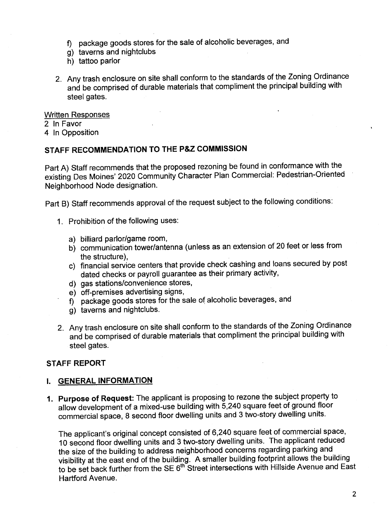- f) package goods stores for the sale of alcoholic beverages, and
- g) taverns and nightclubs
- h) tattoo parlor
- 2. Any trash enclosure on site shall conform to the standards of the Zoning Ordinance and be comprised of durable materials that compliment the principal building with steel gates.

#### Written Responses

2 In Favor

4 In Opposition

# STAFF RECOMMENDATION TO THE P&Z COMMISSION

Part A) Staff recommends that the proposed rezoning be found in conformance with the existing Des Moines' 2020 Community Character Plan Commercial: Pedestrian-Oriented Neighborhood Node designation.

Part B) Staff recommends approval of the request subject to the following conditions:

- 1. Prohibition of the following uses:
	- a) biliard parlor/game room,
	- b) communication tower/antenna (unless as an extension of 20 feet or less from the structure),
	- c) financial service centers that provide check cashing and loans secured by post dated checks or payroll guarantee as their primary activity,
	- d) gas stations/convenience stores,
	- e) off-premises advertising signs,
	- f) package goods stores for the sale of alcoholic beverages, and
	- g) taverns and nightclubs.
- 2. Any trash enclosure on site shall conform to the standards of the Zoning Ordinance and be comprised of durable materials that compliment the principal building with steel gates.

# STAFF REPORT

### i. GENERAL INFORMATION

1. Purpose of Request: The applicant is proposing to rezone the subject property to allow development of a mixed-use building with 5,240 square feet of ground floor commercial space, 8 second floor dwelling units and 3 two-story dwelling units.

The applicant's original concept consisted of 6,240 square feet of commercial space, 10 second floor dwellng units and 3 two-story dwellng units. The applicant reduced the size of the building to address neighborhood concerns regarding parking and visibility at the east end of the building. A smaller building footprint allows the building to be set back further from the SE 6"' Street intersections with Hillside Avenue and East Hartford Avenue.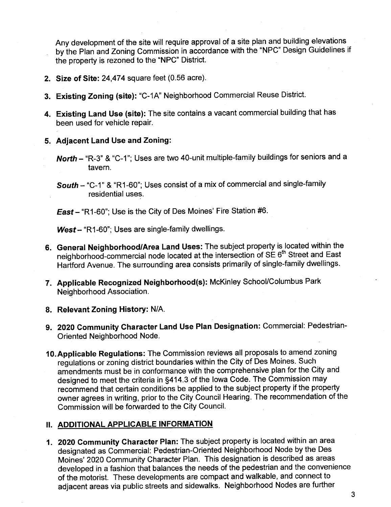Any development of the site wil require approval of a site plan and building elevations by the Plan and Zoning Commission in accordance with the "NPC" Design Guidelines if the property is rezoned to the "NPC" District.

- 2. Size of Site: 24,474 square feet (0.56 acre).
- 3. Existing Zoning (site): "C-1A" Neighborhood Commercial Reuse District.
- 4. Existing Land Use (site): The site contains a vacant commercial building that has been used for vehicle repair.
- 5. Adjacent Land Use and Zoning:
	- North "R-3" & "C-1"; Uses are two 40-unit multiple-family buildings for seniors and a tavern .
	- South "C-1" & "R1-60"; Uses consist of a mix of commercial and single-family residential uses.

East- "R1-60"; Use is the City of Des Moines' Fire Station #6.

 $West - "R1-60"$ ; Uses are single-family dwellings.

- 6. General Neighborhood/Area Land Uses: The subject property is located within the neighborhood-commercial node located at the intersection of SE 6<sup>th</sup> Street and East Hartford Avenue. The surrounding area consists primarily of single-family dwellings.
- 7. Applicable Recognized Neighborhood(s): McKinley School/Columbus Park Neighborhood Association.
- 8. Relevant Zoning History: N/A.
- 9. 2020 Community Character Land Use Plan Designation: Commercial: Pedestrian-Oriented Neighborhood Node.
- 10. Applicable Regulations: The Commission reviews all proposals to amend zoning regulations or zoning district boundaries within the City of Des Moines. Such amendments must be in conformance with the comprehensive plan for the City and designed to meet the criteria in §414.3 of the Iowa Code. The Commission may recommend that certain conditions be applied to the subject property if the property owner agrees in writing, prior to the City Council Hearing. The recommendation of the Commission will be forwarded to the City CounciL.

### II. ADDITIONAL APPLICABLE INFORMATION

1. 2020 Community Character Plan: The subject property is located within an area designated as Commercial: Pedestrian-Oriented Neighborhood Node by the Des Moines' 2020 Community Character Plan. This designation is described as areas developed in a fashion that balances the needs of the pedestrian and the convenience of the motorist. These developments are compact and walkable, and connect to adjacent areas via public streets and sidewalks. Neighborhood Nodes are further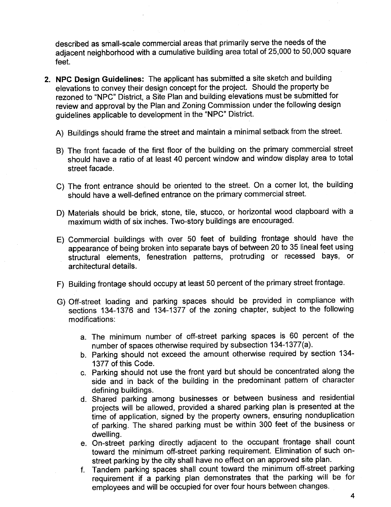described as small-scale commercial areas that primarily serve the needs of the adjacent neighborhood with a cumulative building area total of 25,000 to 50,000 square feet.

- 2. NPC Design Guidelines: The applicant has submitted a site sketch and building elevations to convey their design concept for the project. Should the property be rezoned to "NPC" District, a Site Plan and building elevations must be submitted for review and approval by the Plan and Zoning Commission under the following design guidelines applicable to development in the "NPC" District.
	- A) Buildings should frame the street and maintain a minimal setback from the street.
	- B) The front facade of the first floor of the building on the primary commercial street should have a ratio of at least 40 percent window and window display area to total street facade.
	- C) The front entrance should be oriented to the street. On a corner lot, the building should have a well-defined entrance on the primary commercial street.
	- D) Materials should be brick, stone, tile, stucco, or horizontal wood clapboard with a maximum width of six inches. Two-story buildings are encouraged.
	- E) Commercial buildings with over 50 feet of building frontage should have the appearance of being broken into separate bays of between 20 to 35 lineal feet using structural elements, fenestration patterns, protruding or recessed bays, or architectural details.
	- F) Building frontage should occupy at least 50 percent of the primary street frontage.
	- G) Off-street loading and parking spaces should be provided in compliance with sections 134-1376 and 134-1377 of the zoning chapter, subject to the following modifications:
		- a. The minimum number of off-street parking spaces is 60 percent of the number of spaces otherwise required by subsection 134-1377(a).
		- b. Parking should not exceed the amount otherwise required by section 134- 1377 of this Code.
		- c. Parking should not use the front yard but should be concentrated along the side and in back of the building in the predominant pattern of character defining buildings.
		- d. Shared parking among businesses or between business and residential projects will be allowed, provided a shared parking plan is presented at the time of application, signed by the property owners, ensuring nonduplication of parking. The shared parking must be within 300 feet of the business or dwelling.
		- e. On-street parking directly adjacent to the occupant frontage shall count toward the minimum off-street parking requirement. Elimination of such onstreet parking by the city shall have no effect on an approved site plan.
		- f. Tandem parking spaces shall count toward the minimum off-street parking requirement if a parking plan demonstrates that the parking will be for employees and will be occupied for over four hours between changes.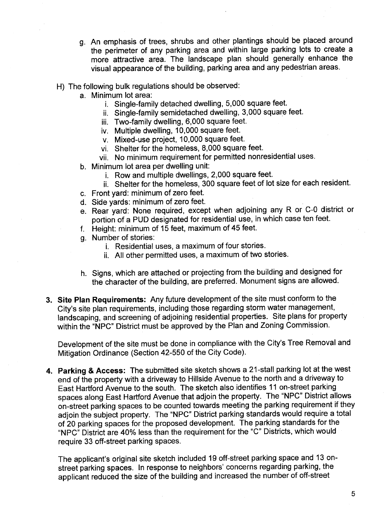- g. An emphasis of trees, shrubs and other plantings should be placed around the perimeter of any parking area and within large parking lots to create a more attractive area. The landscape plan should generally enhance the visual appearance of the building, parking area and any pedestrian areas.
- H) The following bulk regulations should be observed:
	- a. Minimum lot area:
		- i. Single-family detached dwelling, 5,000 square feet.
		- ii. Single-family semidetached dwellng, 3,000 square feet.
		- iii. Two-family dwelling, 6,000 square feet.
		- iv. Multiple dwellng, 10,000 square feet.
		- v. Mixed-use project, 10,000 square feet.
		- vi. Shelter for the homeless, 8,000 square feet.
		- vii. No minimum requirement for permitted nonresidential uses.
	- b. Minimum lot area per dwelling unit:
		- i. Rowand multiple dwellngs, 2,000 square feet.
		- ii. Shelter for the homeless, 300 square feet of lot size for each resident.
	- c. Front yard: minimum of zero feet.
	- d. Side yards: minimum of zero feet.
	- e. Rear yard: None required, except when adjoining any R or C-O district or portion of a PUD designated for residential use, in which case ten feet.
	- f. Height: minimum of 15 feet, maximum of 45 feet.
	- g. Number of stories:
		- i. Residential uses, a maximum of four stories.
		- ii. All other permitted uses, a maximum of two stories.
	- h. Signs, which are attached or projecting from the building and designed for the character of the building, are preferred. Monument signs are allowed.
- 3. Site Plan Requirements: Any future development of the site must conform to the City's site plan requirements, including those regarding storm water management, landscaping, and screening of adjoining residential properties. Site plans for property within the "NPC" District must be approved by the Plan and Zoning Commission.

Development of the site must be done in compliance with the City's Tree Removal and Mitigation Ordinance (Section 42-550 of the City Code).

4. Parking & Access: The submitted site sketch shows a 21-stall parking lot at the west end of the property with a driveway to Hillside Avenue to the north and a driveway to East Hartford Avenue to the south. The sketch also identifies 11 on-street parking spaces along East Hartord Avenue that adjoin the property. The "NPC" District allows on-street parking spaces to be counted towards meeting the parking requirement if they adjoin the subject property. The "NPC" District parking standards would require a total of 20 parking spaces for the proposed development. The parking standards for the "NPC" District are 40% less than the requirement for the "C" Districts, which would require 33 off-street parking spaces.

The applicant's original site sketch included 19 off-street parking space and 13 onstreet parking spaces. In response to neighbors' concerns regarding parking, the applicant reduced the size of the building and increased the number of off-street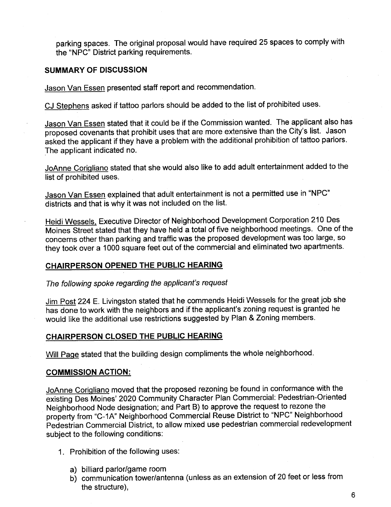parking spaces. The original proposal would have required 25 spaces to comply with the "NPC" District parking requirements.

### SUMMARY OF DISCUSSION

Jason Van Essen presented staff report and recommendation.

CJ Stephens asked if tattoo parlors should be added to the list of prohibited uses.

Jason Van Essen stated that it could be if the Commission wanted. The applicant also has proposed covenants that prohibit uses that are more extensive than the City's list. Jason asked the applicant if they have a problem with the additional prohibition of tattoo parlors. The applicant indicated no.

JoAnne Corigliano stated that she would also like to add adult entertainment added to the list of prohibited uses.

Jason Van Essen explained that adult entertainment is not a permitted use in "NPC" districts and that is why it was not included on the list.

Heidi Wessels, Executive Director of Neighborhood Development Corporation 210 Des Moines Street stated that they have held a total of five neighborhood meetings. One of the concerns other than parking and traffic was the proposed development was too large, so they took over a 1000 square feet out of the commercial and eliminated two apartments.

# CHAIRPERSON OPENED THE PUBLIC HEARING

The following spoke regarding the applicant's request

Jim Post 224 E. Livingston stated that he commends Heidi Wessels for the great job she has done to work with the neighbors and if the applicant's zoning request is granted he would like the additional use restrictions suggested by Plan & Zoning members.

# CHAIRPERSON CLOSED THE PUBLIC HEARING

Will Page stated that the building design compliments the whole neighborhood.

### COMMISSION ACTION:

JoAnne Corigliano moved that the proposed rezoning be found in conformance with the existing Des Moines' 2020 Community Character Plan Commercial: Pedestrian-Oriented Neighborhood Node designation; and Part B) to approve the request to rezone the property from "C-1A" Neighborhood Commercial Reuse District to "NPC" Neighborhood Pedestrian Commercial District, to allow mixed use pedestrian commercial redevelopment subject to the following conditions:

- 1. Prohibition of the following uses:
	- a) biliard parlor/game room
	- b) communication tower/antenna (unless as an extension of 20 feet or less from the structure),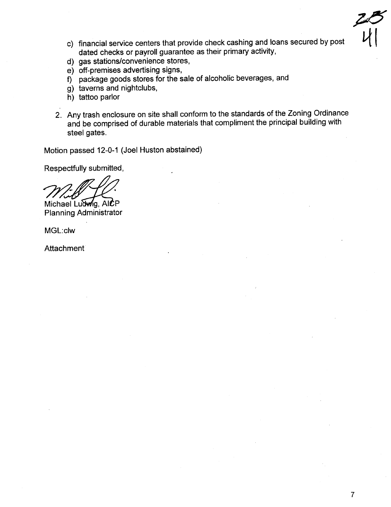- c) financial service centers that provide check cashing and loans secured by post dated checks or payroll guarantee as their primary activity,
- d) gas stations/convenience stores,
- e) off-premises advertising signs,
- f) package goods stores for the sale of alcoholic beverages, and
- g) taverns and nightclubs,
- h) tattoo parlor
- 2. Any trash enclosure on site shall conform to the standards of the Zoning Ordinance and be comprised of durable materials that compliment the principal building with steel gates.

Motion passed 12-0-1 (Joel Huston abstained)

Respectfully submitted,

Michael Ludwig, AICP Planning Administrator

MGL:clw

Attachment

 $28$ 

 $|V|$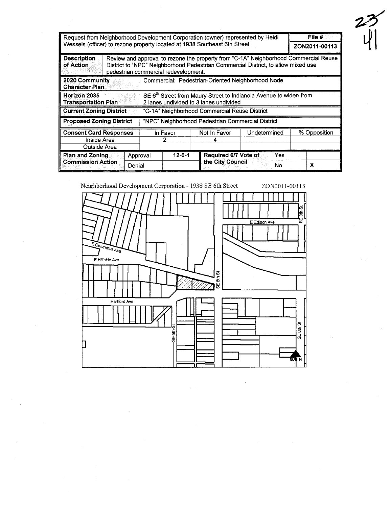| Request from Neighborhood Development Corporation (owner) represented by Heidi<br>Wessels (officer) to rezone property located at 1938 Southeast 6th Street | File #<br>ZON2011-00113 |                                                                                                                                                                                                                   |                                          |              |              |  |  |  |
|-------------------------------------------------------------------------------------------------------------------------------------------------------------|-------------------------|-------------------------------------------------------------------------------------------------------------------------------------------------------------------------------------------------------------------|------------------------------------------|--------------|--------------|--|--|--|
| <b>Description</b><br>of Action                                                                                                                             |                         | Review and approval to rezone the property from "C-1A" Neighborhood Commercial Reuse<br>District to "NPC" Neighborhood Pedestrian Commercial District, to allow mixed use<br>pedestrian commercial redevelopment. |                                          |              |              |  |  |  |
| 2020 Community<br><b>Character Plan</b>                                                                                                                     |                         | Commercial: Pedestrian-Oriented Neighborhood Node                                                                                                                                                                 |                                          |              |              |  |  |  |
| Horizon 2035<br>Transportation Plan                                                                                                                         |                         | SE 6 <sup>th</sup> Street from Maury Street to Indianola Avenue to widen from<br>2 lanes undivided to 3 lanes undivided                                                                                           |                                          |              |              |  |  |  |
| <b>Current Zoning District</b>                                                                                                                              |                         | "C-1A" Neighborhood Commercial Reuse District                                                                                                                                                                     |                                          |              |              |  |  |  |
| <b>Proposed Zoning District</b>                                                                                                                             |                         | "NPC" Neighborhood Pedestrian Commercial District                                                                                                                                                                 |                                          |              |              |  |  |  |
| <b>Consent Card Responses</b><br>Inside Area<br>Outside Area                                                                                                |                         | In Favor                                                                                                                                                                                                          | Not In Favor                             | Undetermined | % Opposition |  |  |  |
| <b>Plan and Zoning</b><br><b>Commission Action</b>                                                                                                          | Approval<br>Denial      | $12 - 0 - 1$                                                                                                                                                                                                      | Required 6/7 Vote of<br>the City Council | Yes<br>No    | x            |  |  |  |



 $\overrightarrow{v}$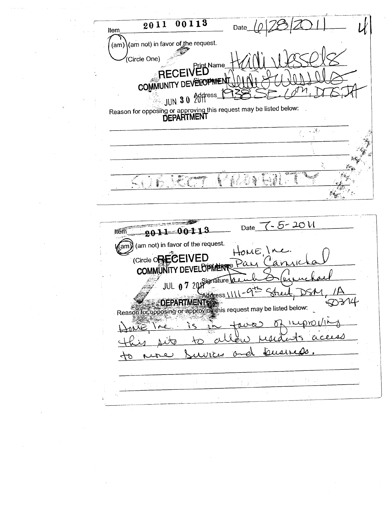$\frac{1}{2011}$  $00113$ Date Item (am) (am not) in favor of the request. .<br>(Circle One) Print Name<br>ED RECEI COMMUNITY DEVELOPMEN JUN 30 Address Reason for opposing or approving this request may be listed below:<br>DEPARTMENT  $\sim 10$ **Tage** 法被判断 ł, ٩ i. 纂 **ANGER** 海野  $\mathbf{L}_{\mathrm{cusp}}$ i. L, Date 7-5-2011 2011 00113 ltem (am not) in favor of the request. (am)  $L/F$ (Circle ORECEIVED aν **COMMUNITY DEVELOPMENT** JUL 0 7 2018 ignature ddress \\' Reason for opposing or approving this request may be listed below.  $\lambda$ 7 Γn usi O 抖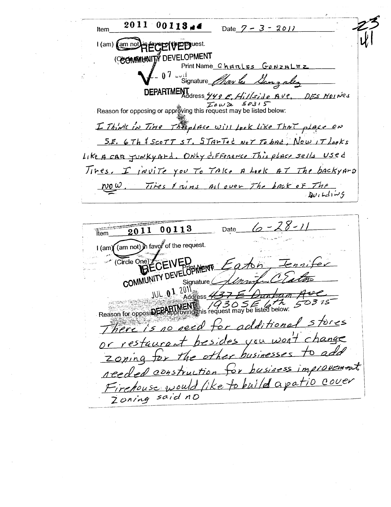$00113 +$ 2011 Date  $7 - 3 - 2011$ Item (am not**)**  $l$  (am) **The Pricest.** (COOMMUNITY DEVELOPMENT Print Name Charles Gonzalez Signature *May les Game ales* DEPARTMENT<br>DEPARTMENT DES MOINES Reason for opposing or approxing this request may be listed below: I Think in Time The place will look like That place on S.E. 6Th & SCOTT ST. STANTED NOT To bad, Now IT Looks Like A CAR JUNKYArd. ONLy difference This place sells Used Tires. I juvite you To TAK. A Look AT The backyard Tires I wins all over The back of The  $\frac{\rho}{\rho}$  .

 $6 - 28$ astaria<br>Ttem 00113 Date 2011 (am not) in favor of the request.  $1$  (am) Circle One) ECEIVED COMMUNITY DEVELOPMENT 101 01 201 Address 4 O3 18  $\beta$  30 S E 6 th 5 Reason for opposing For appl additional stores here is no reed for besides you won't change restaurant businesses to add  $h$  expressed the  $h$ Zoning tor for business improvements reeded construction Firehouse would like to build apatio cover Zoning said no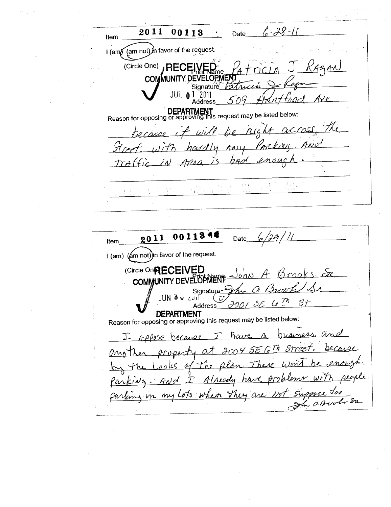$6 - 28 - 11$ 2011  $00113$ Date Item (am not) in favor of the request.  $I$  (am) (Circle.One) , REC **COMMUNITY DEVELOPMEN** Signature *Fa* **JUL 01 2011** Ave Address DEPARTMENT<br>Reason for opposing or approving this request may be listed below: because it will be right across. hardly Any Packing  $5t$ red bad  $\ell$ M raffic  $\tilde{L}_{\Delta}$  $\sum_{i=1}^{n}$ 72o ci 클로트 **ANDERS** 经经营 医连 在内辖 0011354  $6/29/11$ 2011 Date Item I (am) (am not) in favor of the request. (Circle On RECEIVED John COMMUNITY DEVELOPMEN Signature

JUN 3 v أأناع  $C^{\mathcal{M}}$  $S\tau$  $2001$ 3 **Address DEPARTMENT** Reason for opposing or approving this request may be listed below: pusiness  $\alpha_{\rm M}$ have  $\alpha$  $\mathcal{I}$ Appose because Ľ  $\mathcal{L}$  Th Stree at 2004 SE  $(MnT)$ procesty Лo 00 ks o r h e have bru k Already ANd  $100<sub>o</sub>$ y in my lots when they are  $1/27$